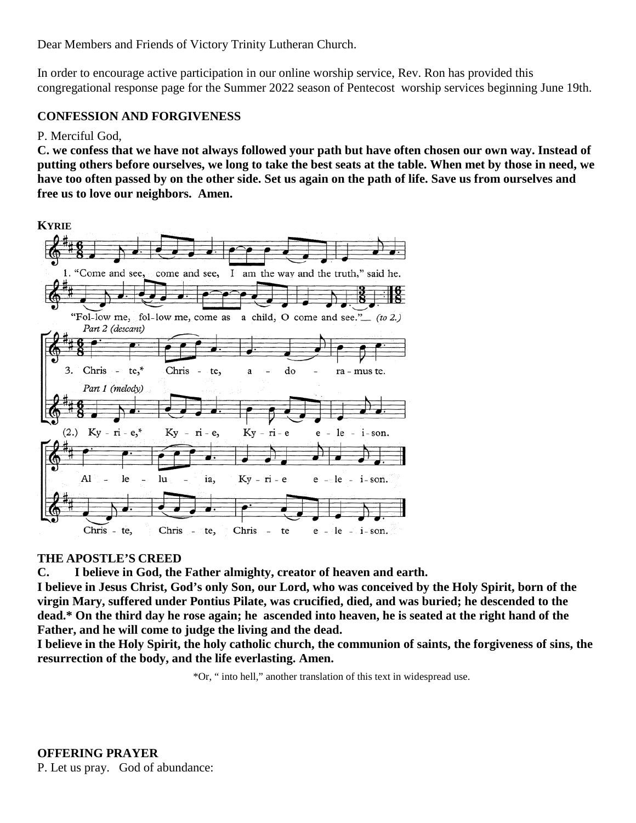Dear Members and Friends of Victory Trinity Lutheran Church.

In order to encourage active participation in our online worship service, Rev. Ron has provided this congregational response page for the Summer 2022 season of Pentecost worship services beginning June 19th.

## **CONFESSION AND FORGIVENESS**

## P. Merciful God,

**C. we confess that we have not always followed your path but have often chosen our own way. Instead of putting others before ourselves, we long to take the best seats at the table. When met by those in need, we have too often passed by on the other side. Set us again on the path of life. Save us from ourselves and free us to love our neighbors. Amen.**



## **THE APOSTLE'S CREED**

**C. I believe in God, the Father almighty, creator of heaven and earth.**

**I believe in Jesus Christ, God's only Son, our Lord, who was conceived by the Holy Spirit, born of the virgin Mary, suffered under Pontius Pilate, was crucified, died, and was buried; he descended to the dead.\* On the third day he rose again; he ascended into heaven, he is seated at the right hand of the Father, and he will come to judge the living and the dead.**

**I believe in the Holy Spirit, the holy catholic church, the communion of saints, the forgiveness of sins, the resurrection of the body, and the life everlasting. Amen.**

\*Or, " into hell," another translation of this text in widespread use.